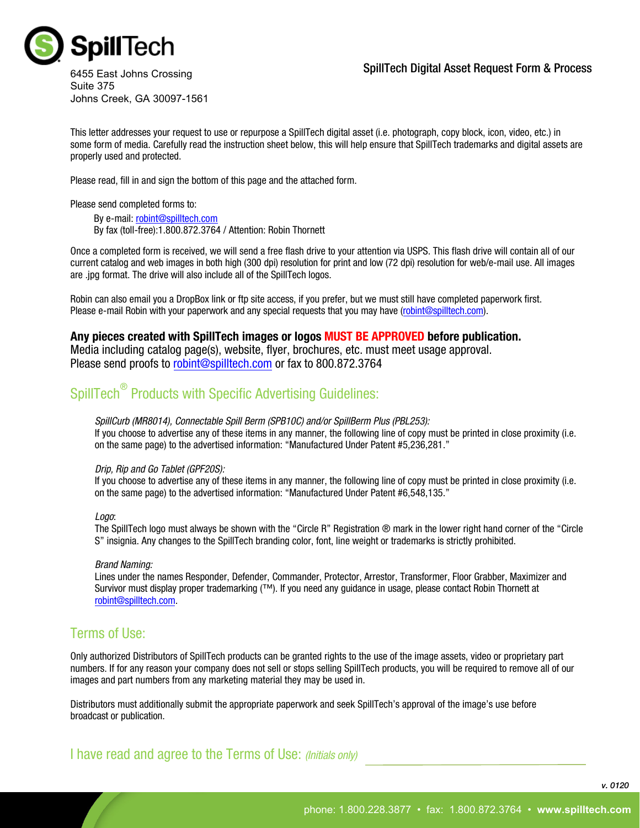

#### SpillTech Digital Asset Request Form & Process

6455 East Johns Crossing Suite 375 Johns Creek, GA 30097-1561

This letter addresses your request to use or repurpose a SpillTech digital asset (i.e. photograph, copy block, icon, video, etc.) in some form of media. Carefully read the instruction sheet below, this will help ensure that SpillTech trademarks and digital assets are properly used and protected.

Please read, fill in and sign the bottom of this page and the attached form.

Please send completed forms to:

By e-mail: robint@spilltech.com

By fax (toll-free):1.800.872.3764 / Attention: Robin Thornett

Once a completed form is received, we will send a free flash drive to your attention via USPS. This flash drive will contain all of our current catalog and web images in both high (300 dpi) resolution for print and low (72 dpi) resolution for web/e-mail use. All images are .jpg format. The drive will also include all of the SpillTech logos.

Robin can also email you a DropBox link or ftp site access, if you prefer, but we must still have completed paperwork first. Please e-mail Robin with your paperwork and any special requests that you may have (robint@spilltech.com).

#### **Any pieces created with SpillTech images or logos MUST BE APPROVED before publication.**

Media including catalog page(s), website, flyer, brochures, etc. must meet usage approval. Please send proofs to robint@spilltech.com or fax to 800.872.3764

# SpillTech<sup>®</sup> Products with Specific Advertising Guidelines:

*SpillCurb (MR8014), Connectable Spill Berm (SPB10C) and/or SpillBerm Plus (PBL253):* If you choose to advertise any of these items in any manner, the following line of copy must be printed in close proximity (i.e. on the same page) to the advertised information: "Manufactured Under Patent #5,236,281."

#### *Drip, Rip and Go Tablet (GPF20S):*

If you choose to advertise any of these items in any manner, the following line of copy must be printed in close proximity (i.e. on the same page) to the advertised information: "Manufactured Under Patent #6,548,135."

#### *Logo*:

The SpillTech logo must always be shown with the "Circle R" Registration ® mark in the lower right hand corner of the "Circle S" insignia. Any changes to the SpillTech branding color, font, line weight or trademarks is strictly prohibited.

#### *Brand Naming:*

Lines under the names Responder, Defender, Commander, Protector, Arrestor, Transformer, Floor Grabber, Maximizer and Survivor must display proper trademarking (™). If you need any guidance in usage, please contact Robin Thornett at robint@spilltech.com.

### Terms of Use:

Only authorized Distributors of SpillTech products can be granted rights to the use of the image assets, video or proprietary part numbers. If for any reason your company does not sell or stops selling SpillTech products, you will be required to remove all of our images and part numbers from any marketing material they may be used in.

Distributors must additionally submit the appropriate paperwork and seek SpillTech's approval of the image's use before broadcast or publication.

I have read and agree to the Terms of Use: *(Initials only)*